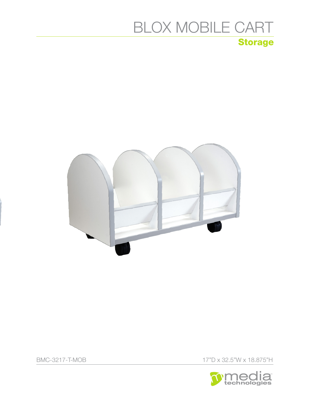# Storage BLOX MOBILE CART



BMC-3217-T-MOB 17"D x 32.5"W x 18.875"H